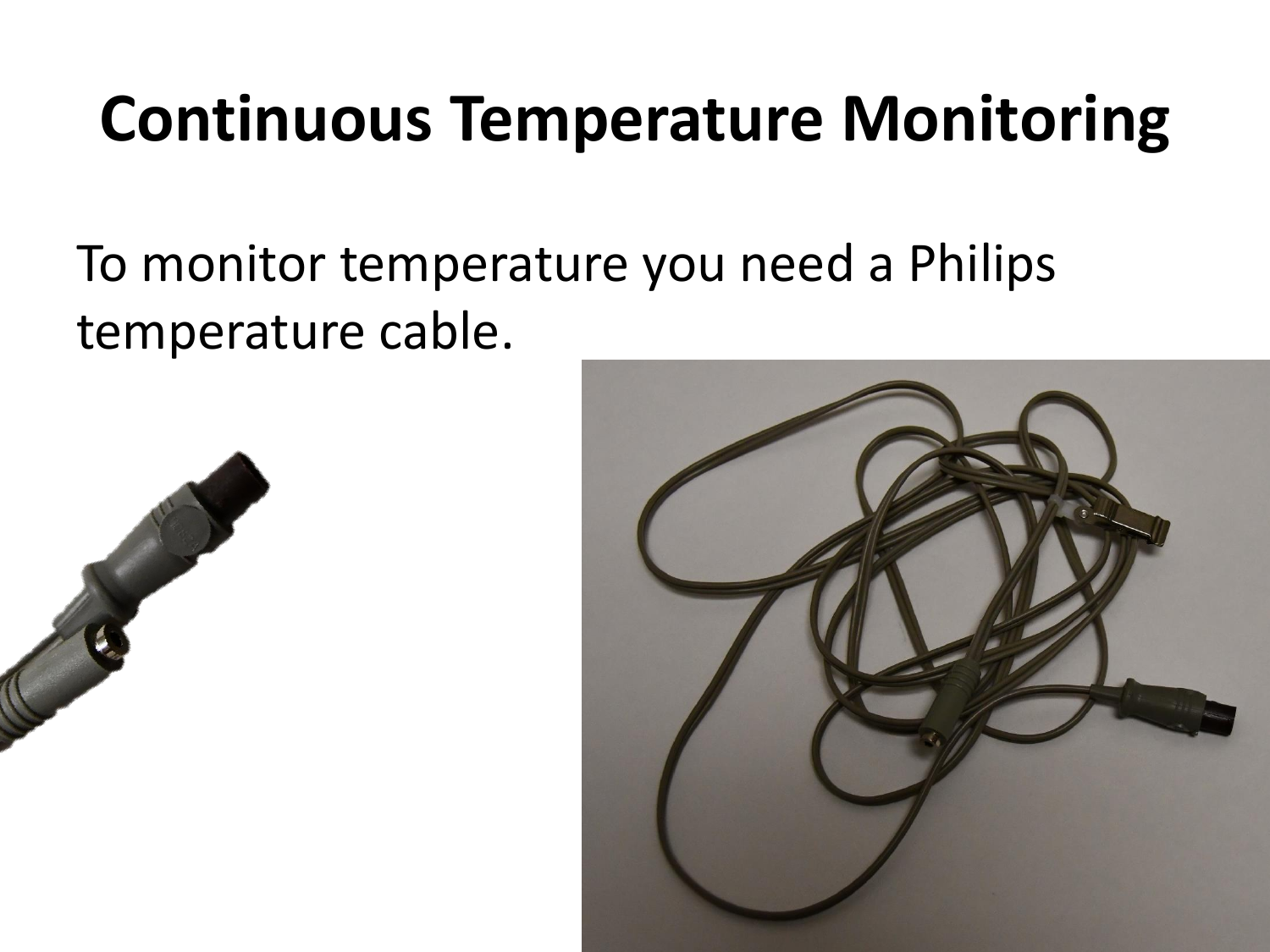#### **Continuous Temperature Monitoring**

#### To monitor temperature you need a Philips temperature cable.



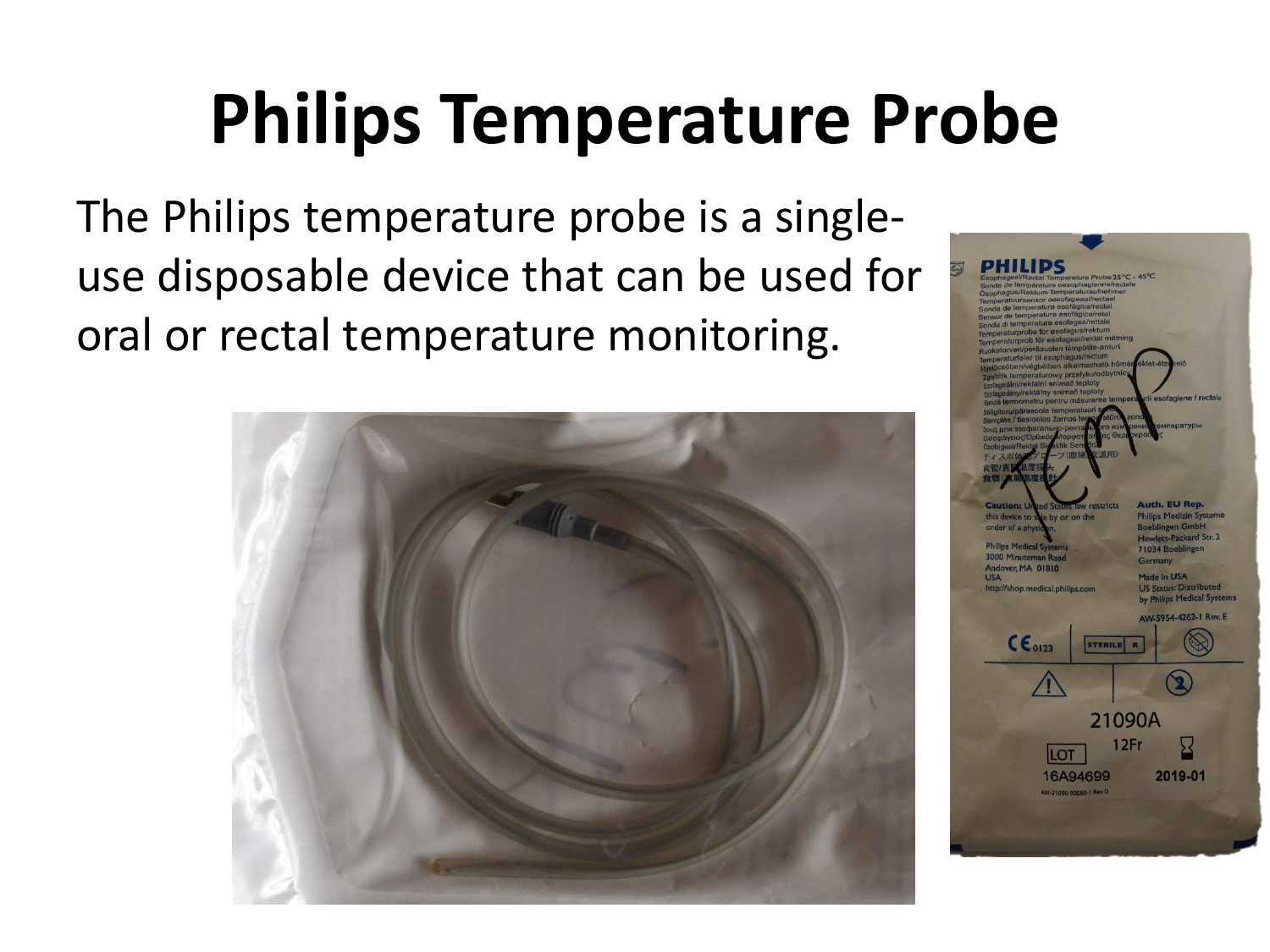## **Philips Temperature Probe**

The Philips temperature probe is a singleuse disposable device that can be used for oral or rectal temperature monitoring.



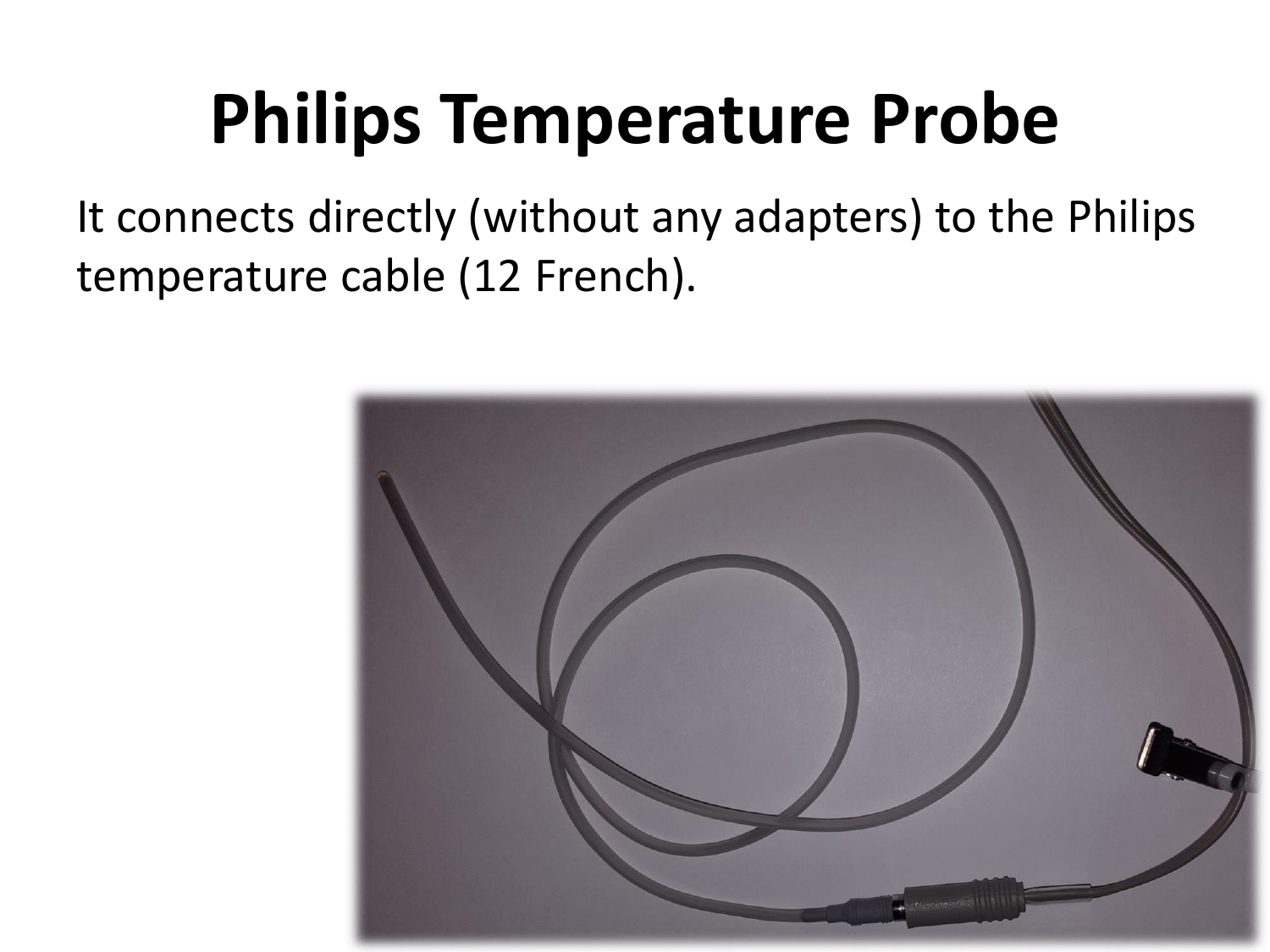#### **Philips Temperature Probe**

It connects directly (without any adapters) to the Philips temperature cable (12 French).

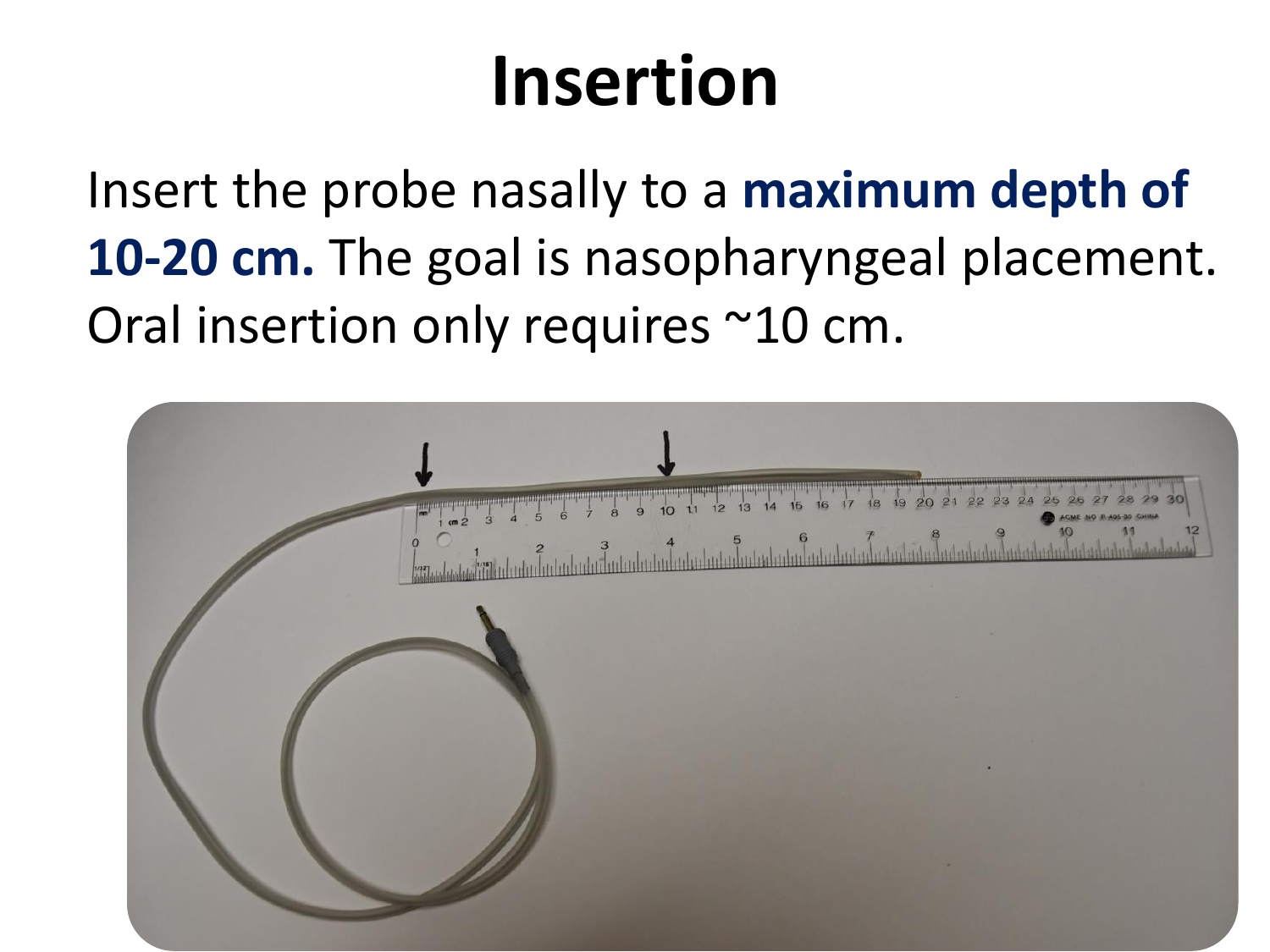### **Insertion**

Insert the probe nasally to a **maximum depth of 10-20 cm.** The goal is nasopharyngeal placement. Oral insertion only requires ~10 cm.

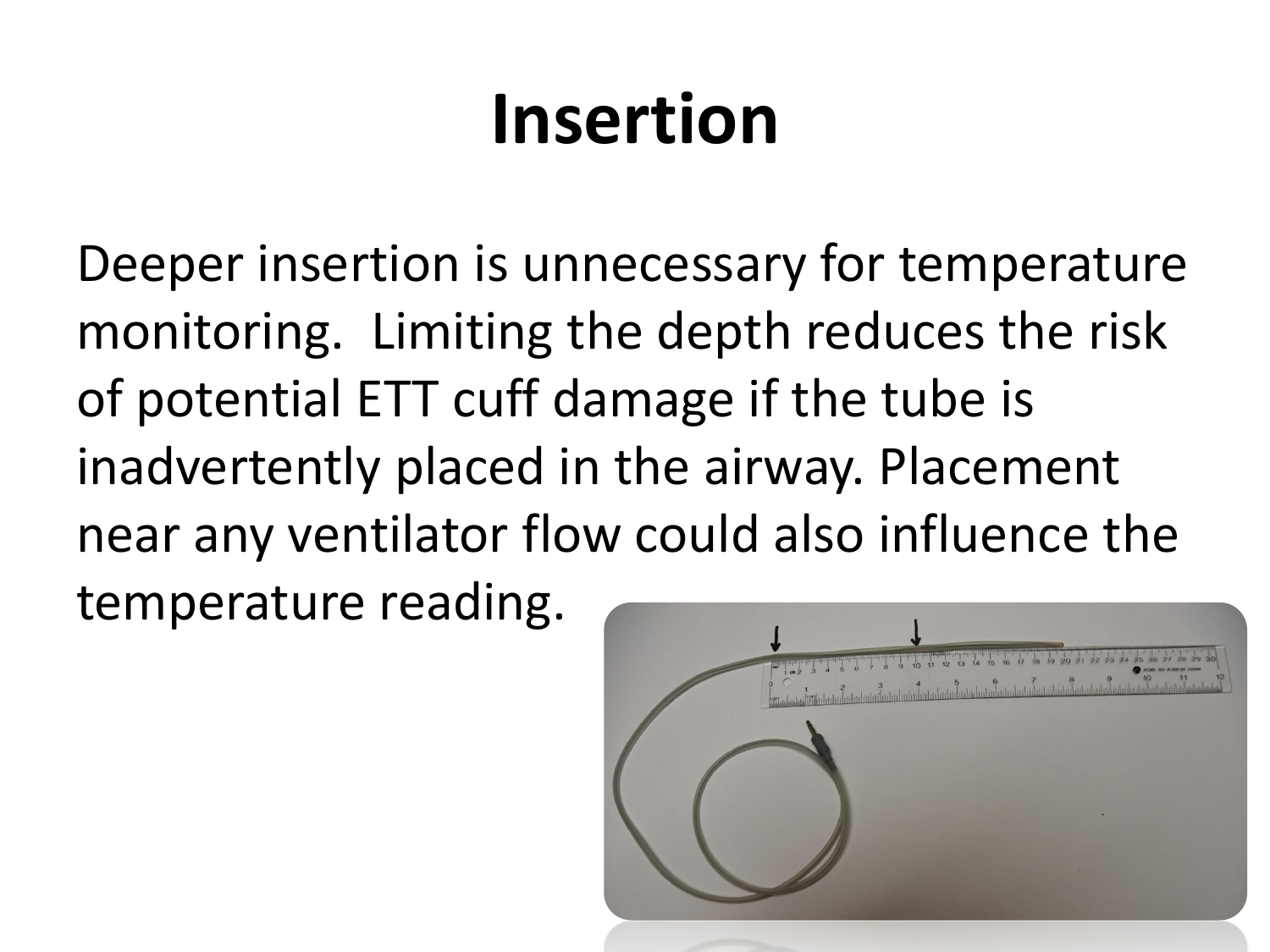# **Insertion**

Deeper insertion is unnecessary for temperature monitoring. Limiting the depth reduces the risk of potential ETT cuff damage if the tube is inadvertently placed in the airway. Placement near any ventilator flow could also influence the temperature reading.

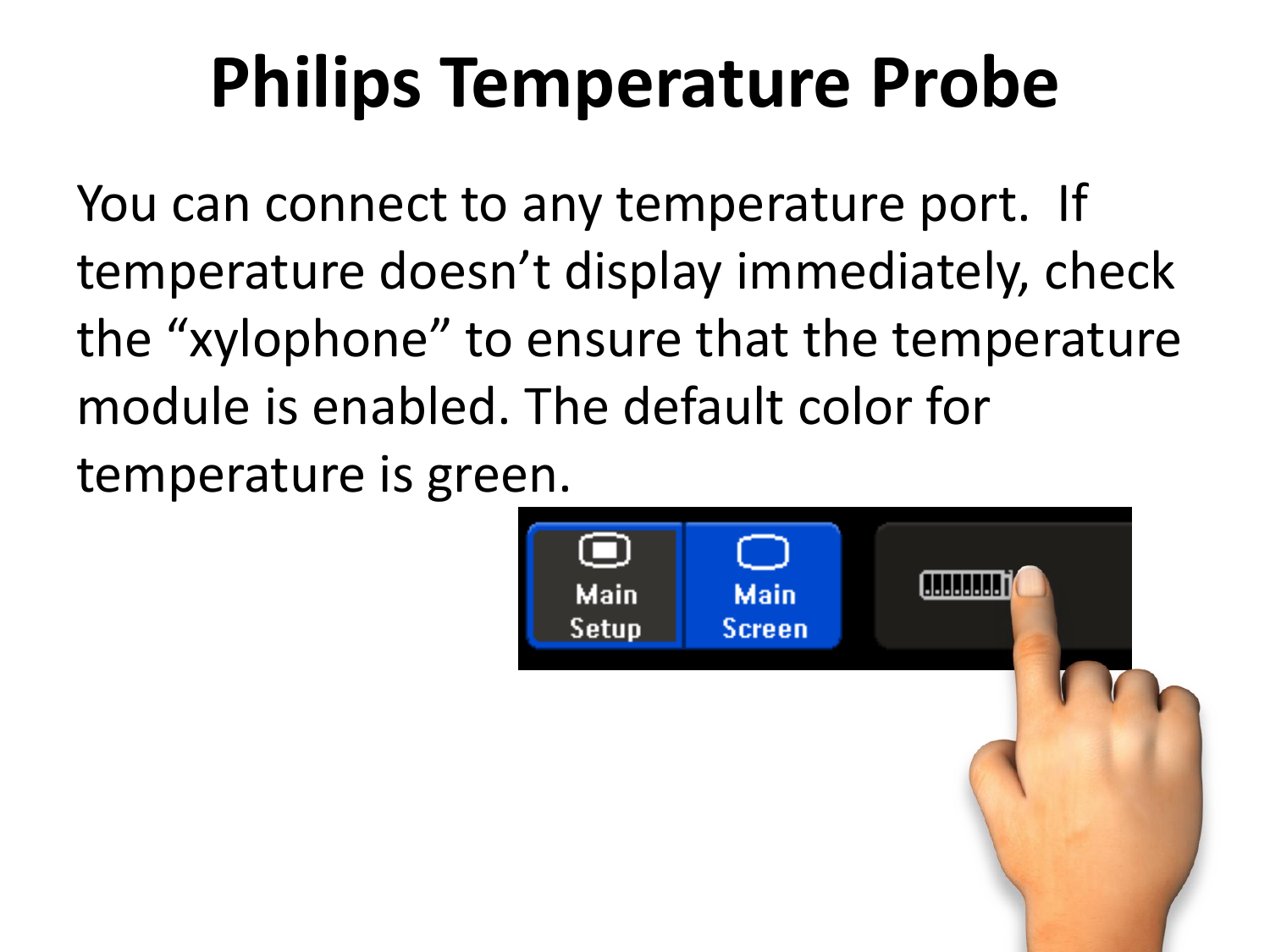# **Philips Temperature Probe**

You can connect to any temperature port. If temperature doesn't display immediately, check the "xylophone" to ensure that the temperature module is enabled. The default color for temperature is green.

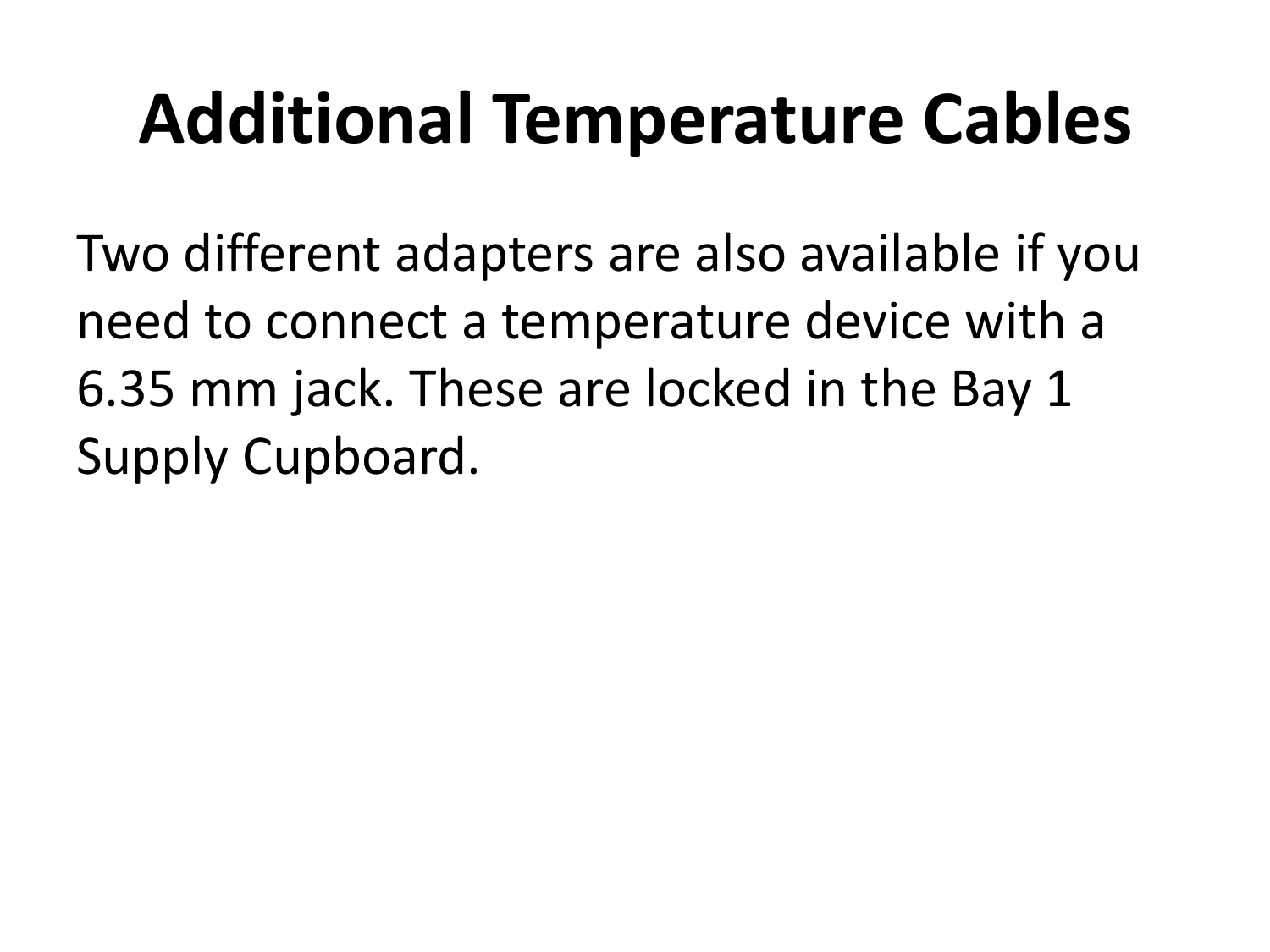# **Additional Temperature Cables**

Two different adapters are also available if you need to connect a temperature device with a 6.35 mm jack. These are locked in the Bay 1 Supply Cupboard.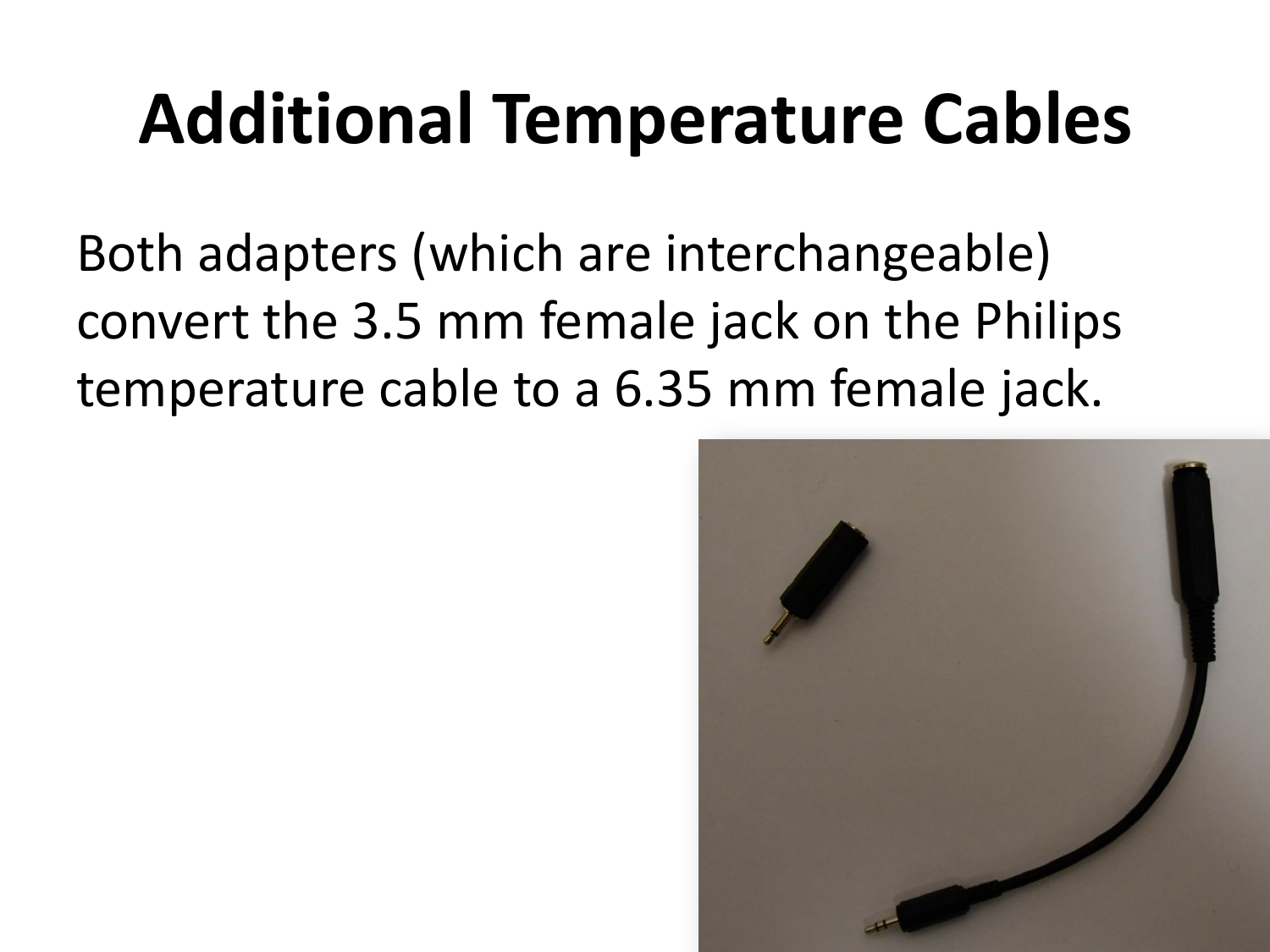# **Additional Temperature Cables**

Both adapters (which are interchangeable) convert the 3.5 mm female jack on the Philips temperature cable to a 6.35 mm female jack.

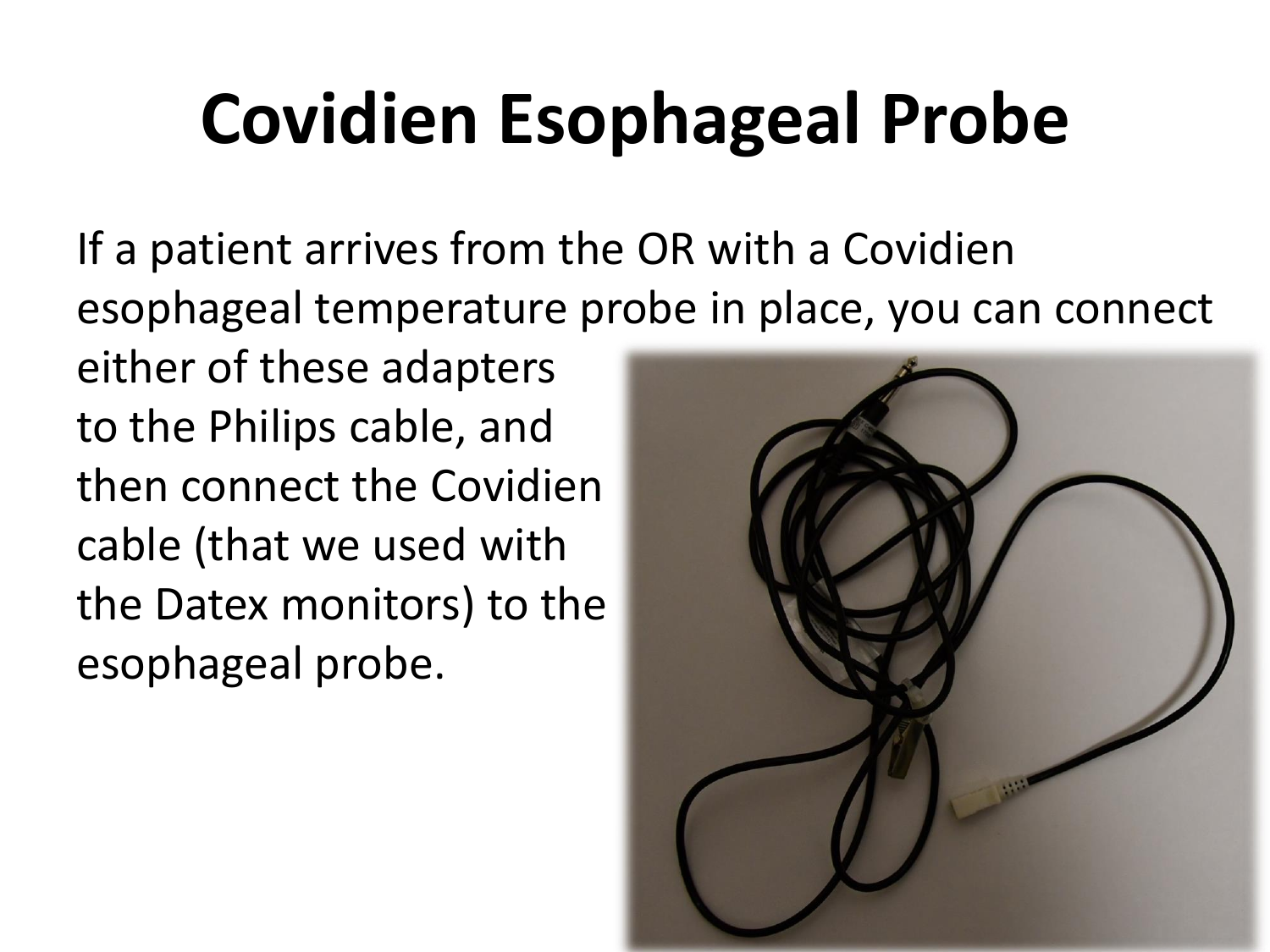# **Covidien Esophageal Probe**

If a patient arrives from the OR with a Covidien esophageal temperature probe in place, you can connect

either of these adapters to the Philips cable, and then connect the Covidien cable (that we used with the Datex monitors) to the esophageal probe.